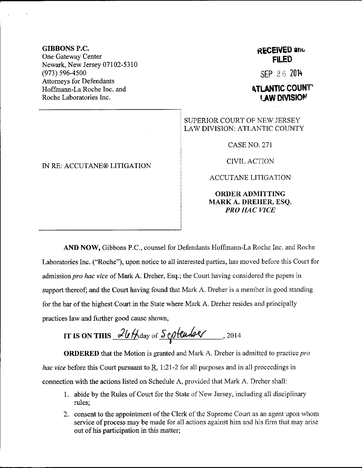GIBBONS P,C. One Gateway Center Newark, New Jersey 07102-5310 (973) 596-4500 Attomeys for Defendants Hoffrnann-La Roche Inc. and Roche Laboratories Inc.

## IN RE: ACCUTANE@ LITIGATION

## RECEIVED and FILED

 $SFP 26 2014$ 

## **ATLANTIC COUNT** LAW DIVISION

## SUPERIOR COURT OF NEW JERSEY LAW DIVISION: ATLANTIC COUNTY

CASENO.271

CIVILACTION

ACCUTANE LITIGATION

ORDERADMITTING MARK A. DREIIER, ESQ. PRO HAC VICE

AND NOW, Gibbons P.C., counsel for Defendants Hoffmann-La Roche Inc. and Roche Laboratories Inc. ("Roche"), upon notice to all interested parties, has moved before this Court for admission *pro hac vice* of Mark A. Dreher, Esq.; the Court having considered the papers in support thereof; and the Court having found that Mark A. Dreher is a member in good standing for the bar of the highest Court in the State where Mark A. Dreher resides and principally practices law and further good cause shown,

IT IS ON THIS  $\frac{2\nu\text{H}}{\text{day of }\text{S}}$  extended . 2014

**ORDERED** that the Motion is granted and Mark A. Dreher is admitted to practice *pro hac vice* before this Court pursuant to  $R<sub>i</sub>$  1:21-2 for all purposes and in all proceedings in connection with the actions listed on Schedule A, provided that Mark A. Dreher shall:

- <sup>1</sup>. abide by the Rules of Court for the State of New Jersey, including all disciplinary rules;
- 2. consent to the appointment of the Clerk of the Supreme Court as an agent upon whom service of process may be made for all actions against him and his firm that may arise out of his participation in this matter;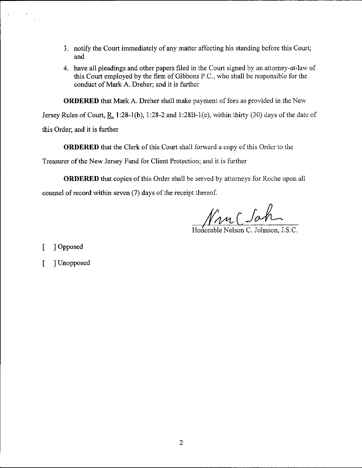- 3. notify the Court immediately of any matter affecting his standing before this Court; and
- 4. have all pleadings and other papers filed in the Court signed by an attorney-at-law of this Court employed by the firm of Gibbons P.C., who shall be responsible for the conduct of Mark A. Dreher; and it is further

**ORDERED** that Mark A. Dreher shall make payment of fees as provided in the New

Jersey Rules of Court, R. 1:28-1(b), 1:28-2 and 1:28B-1(e), within thirty (30) days of the date of

this Order; and it is further

ORDERED that the Clerk of this Court shall forward a copy of this Order to the

Treasurer of the New Jersey Fund for Client Protection; and it is further

ORDERED that copies of this Order shall be served by attorneys for Roche upon all counsel of record within seven (7) days of the receipt thereof.

Non Clat

Honorable Nelson C. Johnson, J.S.C.

[ ] Opposed

[ ] Unopposed